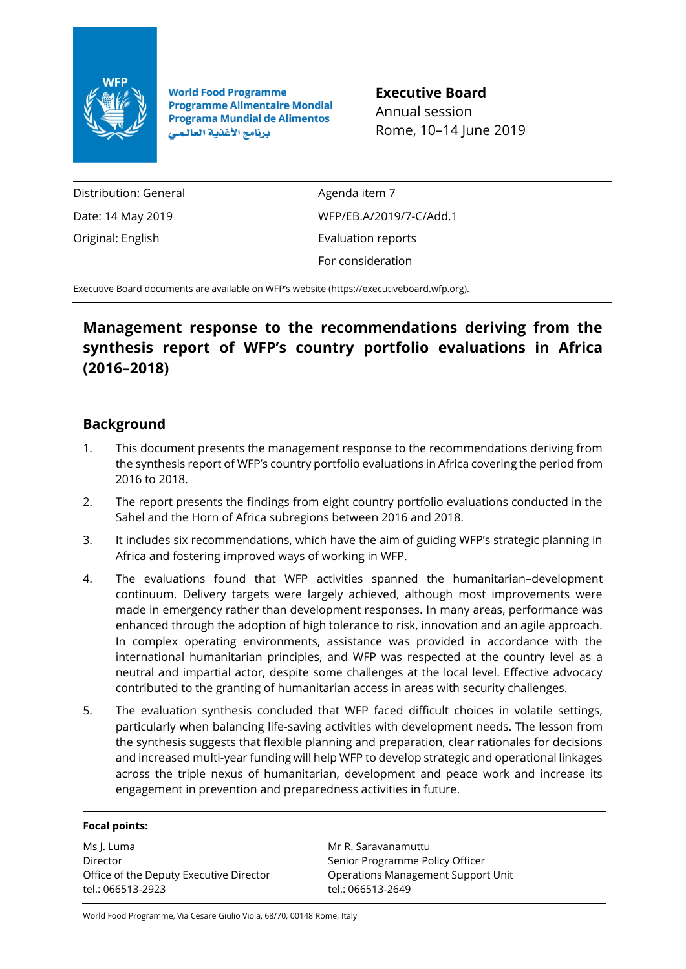

**World Food Programme Programme Alimentaire Mondial Programa Mundial de Alimentos** برنامج الأغذية العالمي

**Executive Board** Annual session Rome, 10–14 June 2019

Distribution: General Date: 14 May 2019 Original: English

Agenda item 7 WFP/EB.A/2019/7-C/Add.1 Evaluation reports For consideration

Executive Board documents are available on WFP's website [\(https://executiveboard.wfp.org\)](https://executiveboard.wfp.org/).

### **Management response to the recommendations deriving from the synthesis report of WFP's country portfolio evaluations in Africa (2016–2018)**

### **Background**

- 1. This document presents the management response to the recommendations deriving from the synthesis report of WFP's country portfolio evaluations in Africa covering the period from 2016 to 2018.
- 2. The report presents the findings from eight country portfolio evaluations conducted in the Sahel and the Horn of Africa subregions between 2016 and 2018.
- 3. It includes six recommendations, which have the aim of guiding WFP's strategic planning in Africa and fostering improved ways of working in WFP.
- 4. The evaluations found that WFP activities spanned the humanitarian–development continuum. Delivery targets were largely achieved, although most improvements were made in emergency rather than development responses. In many areas, performance was enhanced through the adoption of high tolerance to risk, innovation and an agile approach. In complex operating environments, assistance was provided in accordance with the international humanitarian principles, and WFP was respected at the country level as a neutral and impartial actor, despite some challenges at the local level. Effective advocacy contributed to the granting of humanitarian access in areas with security challenges.
- 5. The evaluation synthesis concluded that WFP faced difficult choices in volatile settings, particularly when balancing life-saving activities with development needs. The lesson from the synthesis suggests that flexible planning and preparation, clear rationales for decisions and increased multi-year funding will help WFP to develop strategic and operational linkages across the triple nexus of humanitarian, development and peace work and increase its engagement in prevention and preparedness activities in future.

#### **Focal points:**

Ms J. Luma Director Office of the Deputy Executive Director tel.: 066513-2923

Mr R. Saravanamuttu Senior Programme Policy Officer Operations Management Support Unit tel.: 066513-2649

World Food Programme, Via Cesare Giulio Viola, 68/70, 00148 Rome, Italy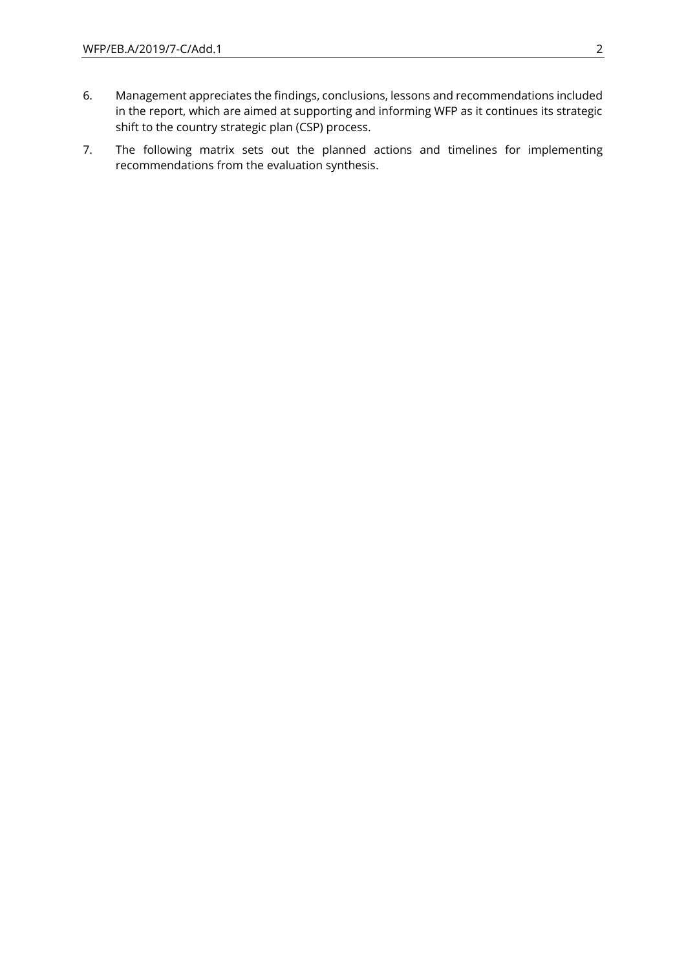- 6. Management appreciates the findings, conclusions, lessons and recommendations included in the report, which are aimed at supporting and informing WFP as it continues its strategic shift to the country strategic plan (CSP) process.
- 7. The following matrix sets out the planned actions and timelines for implementing recommendations from the evaluation synthesis.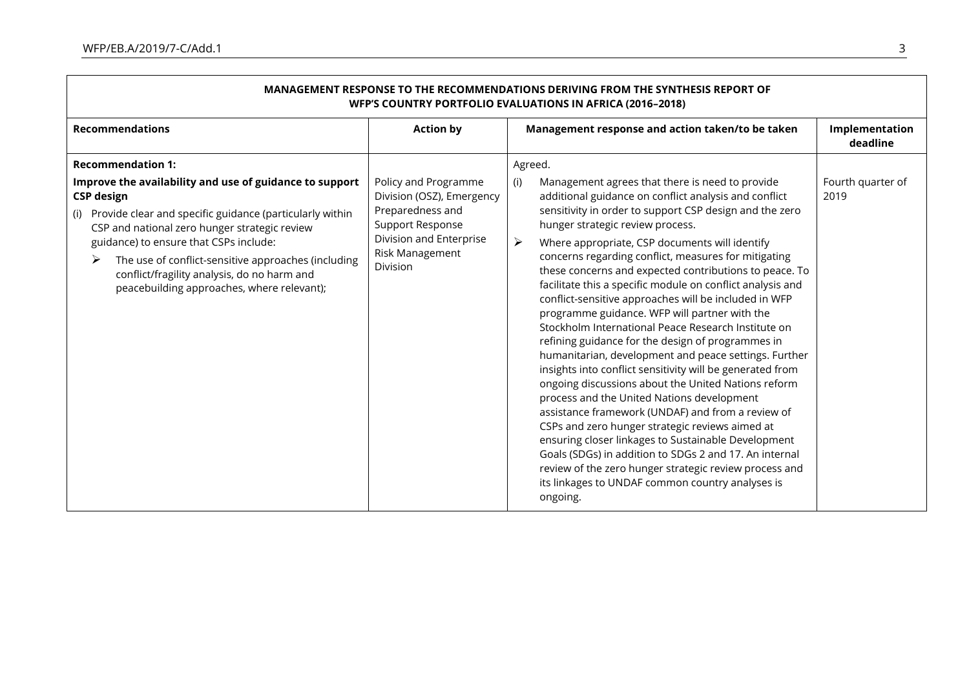| MANAGEMENT RESPONSE TO THE RECOMMENDATIONS DERIVING FROM THE SYNTHESIS REPORT OF<br><b>WFP'S COUNTRY PORTFOLIO EVALUATIONS IN AFRICA (2016-2018)</b>                                                                                                                                                                                                                                             |                                                                                                                                                            |                                                                                                                                                                                                                                                                                                                                                                                                                                                                                                                                                                                                                                                                                                                                                                                                                                                                                                                                                                                                                                                                                                                                                                                                                                                           |                            |  |  |
|--------------------------------------------------------------------------------------------------------------------------------------------------------------------------------------------------------------------------------------------------------------------------------------------------------------------------------------------------------------------------------------------------|------------------------------------------------------------------------------------------------------------------------------------------------------------|-----------------------------------------------------------------------------------------------------------------------------------------------------------------------------------------------------------------------------------------------------------------------------------------------------------------------------------------------------------------------------------------------------------------------------------------------------------------------------------------------------------------------------------------------------------------------------------------------------------------------------------------------------------------------------------------------------------------------------------------------------------------------------------------------------------------------------------------------------------------------------------------------------------------------------------------------------------------------------------------------------------------------------------------------------------------------------------------------------------------------------------------------------------------------------------------------------------------------------------------------------------|----------------------------|--|--|
| <b>Recommendations</b>                                                                                                                                                                                                                                                                                                                                                                           | <b>Action by</b>                                                                                                                                           | Management response and action taken/to be taken                                                                                                                                                                                                                                                                                                                                                                                                                                                                                                                                                                                                                                                                                                                                                                                                                                                                                                                                                                                                                                                                                                                                                                                                          | Implementation<br>deadline |  |  |
| <b>Recommendation 1:</b>                                                                                                                                                                                                                                                                                                                                                                         |                                                                                                                                                            | Agreed.                                                                                                                                                                                                                                                                                                                                                                                                                                                                                                                                                                                                                                                                                                                                                                                                                                                                                                                                                                                                                                                                                                                                                                                                                                                   |                            |  |  |
| Improve the availability and use of guidance to support<br><b>CSP</b> design<br>(i) Provide clear and specific guidance (particularly within<br>CSP and national zero hunger strategic review<br>guidance) to ensure that CSPs include:<br>The use of conflict-sensitive approaches (including<br>➤<br>conflict/fragility analysis, do no harm and<br>peacebuilding approaches, where relevant); | Policy and Programme<br>Division (OSZ), Emergency<br>Preparedness and<br><b>Support Response</b><br>Division and Enterprise<br>Risk Management<br>Division | Management agrees that there is need to provide<br>(i)<br>additional guidance on conflict analysis and conflict<br>sensitivity in order to support CSP design and the zero<br>hunger strategic review process.<br>Where appropriate, CSP documents will identify<br>➤<br>concerns regarding conflict, measures for mitigating<br>these concerns and expected contributions to peace. To<br>facilitate this a specific module on conflict analysis and<br>conflict-sensitive approaches will be included in WFP<br>programme guidance. WFP will partner with the<br>Stockholm International Peace Research Institute on<br>refining guidance for the design of programmes in<br>humanitarian, development and peace settings. Further<br>insights into conflict sensitivity will be generated from<br>ongoing discussions about the United Nations reform<br>process and the United Nations development<br>assistance framework (UNDAF) and from a review of<br>CSPs and zero hunger strategic reviews aimed at<br>ensuring closer linkages to Sustainable Development<br>Goals (SDGs) in addition to SDGs 2 and 17. An internal<br>review of the zero hunger strategic review process and<br>its linkages to UNDAF common country analyses is<br>ongoing. | Fourth quarter of<br>2019  |  |  |

# **MANAGEMENT RESPONSE TO THE RECOMMENDATIONS DERIVING FROM THE SYNTHESIS REPORT OF**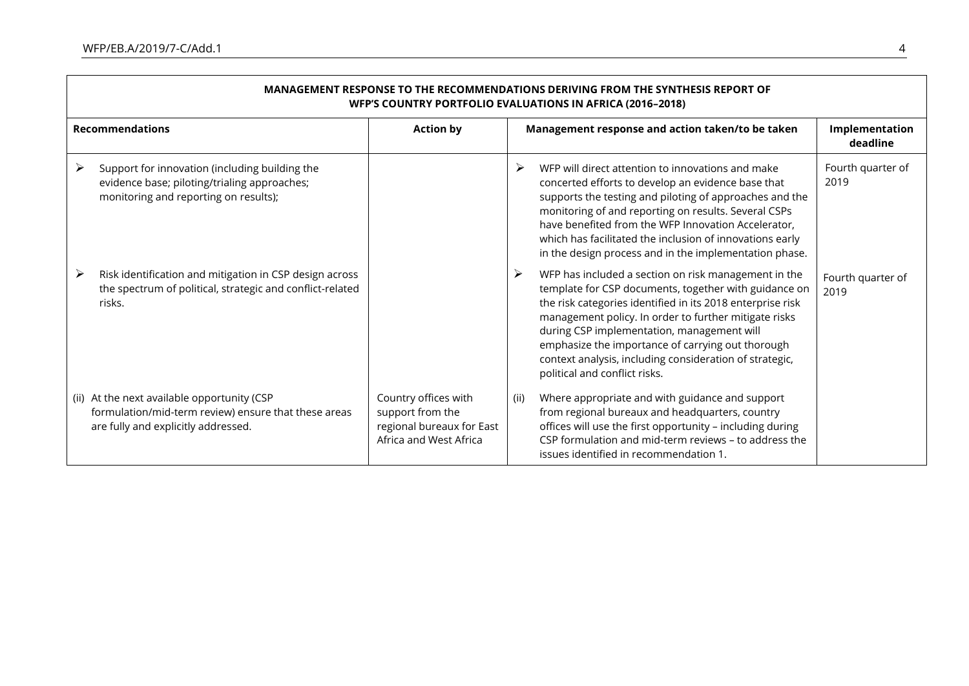$\overline{\phantom{a}}$ 

| MANAGEMENT RESPONSE TO THE RECOMMENDATIONS DERIVING FROM THE SYNTHESIS REPORT OF<br>WFP'S COUNTRY PORTFOLIO EVALUATIONS IN AFRICA (2016-2018) |                                                                                                 |                                                                                                                                                                                                                                                                                                                                                                                                                                          |                            |  |
|-----------------------------------------------------------------------------------------------------------------------------------------------|-------------------------------------------------------------------------------------------------|------------------------------------------------------------------------------------------------------------------------------------------------------------------------------------------------------------------------------------------------------------------------------------------------------------------------------------------------------------------------------------------------------------------------------------------|----------------------------|--|
| <b>Recommendations</b>                                                                                                                        | <b>Action by</b>                                                                                | Management response and action taken/to be taken                                                                                                                                                                                                                                                                                                                                                                                         | Implementation<br>deadline |  |
| Support for innovation (including building the<br>➤<br>evidence base; piloting/trialing approaches;<br>monitoring and reporting on results);  |                                                                                                 | ➤<br>WFP will direct attention to innovations and make<br>concerted efforts to develop an evidence base that<br>supports the testing and piloting of approaches and the<br>monitoring of and reporting on results. Several CSPs<br>have benefited from the WFP Innovation Accelerator,<br>which has facilitated the inclusion of innovations early<br>in the design process and in the implementation phase.                             | Fourth quarter of<br>2019  |  |
| Risk identification and mitigation in CSP design across<br>➤<br>the spectrum of political, strategic and conflict-related<br>risks.           |                                                                                                 | ➤<br>WFP has included a section on risk management in the<br>template for CSP documents, together with guidance on<br>the risk categories identified in its 2018 enterprise risk<br>management policy. In order to further mitigate risks<br>during CSP implementation, management will<br>emphasize the importance of carrying out thorough<br>context analysis, including consideration of strategic,<br>political and conflict risks. | Fourth quarter of<br>2019  |  |
| (ii) At the next available opportunity (CSP<br>formulation/mid-term review) ensure that these areas<br>are fully and explicitly addressed.    | Country offices with<br>support from the<br>regional bureaux for East<br>Africa and West Africa | Where appropriate and with guidance and support<br>(ii)<br>from regional bureaux and headquarters, country<br>offices will use the first opportunity - including during<br>CSP formulation and mid-term reviews - to address the<br>issues identified in recommendation 1.                                                                                                                                                               |                            |  |

# **MANAGEMENT RESPONSE TO THE RECOMMENDATIONS DERIVING FROM THE SYNTHESIS REPORT OF**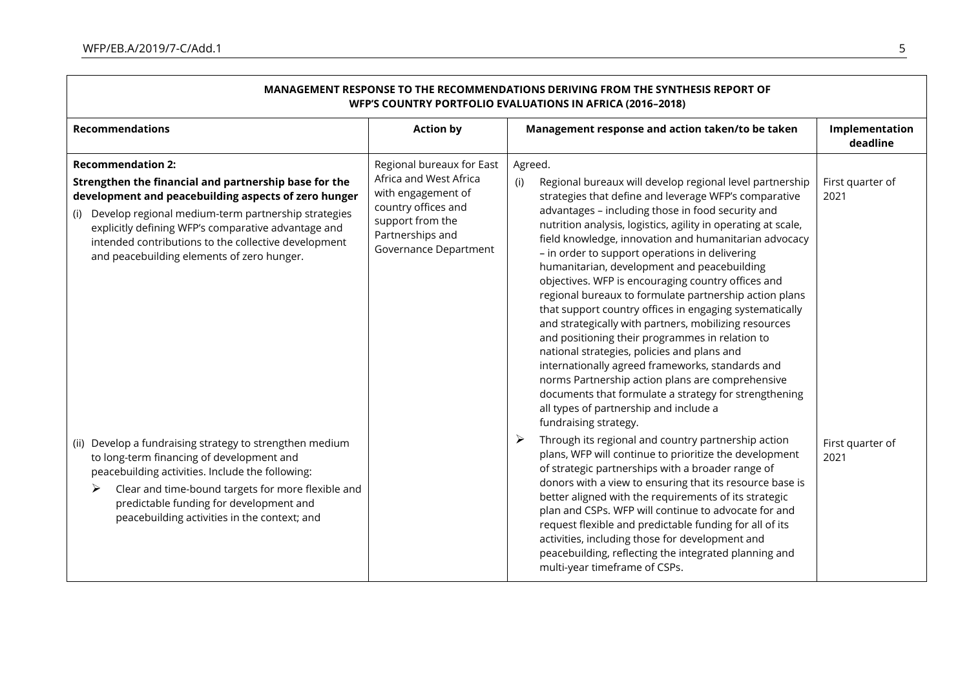$\blacksquare$ 

| MANAGEMENT RESPONSE TO THE RECOMMENDATIONS DERIVING FROM THE SYNTHESIS REPORT OF<br>WFP'S COUNTRY PORTFOLIO EVALUATIONS IN AFRICA (2016-2018)                                                                                                                                                                                                                     |                                                                                                                                                                   |                                                                                                                                                                                                                                                                                                                                                                                                                                                                                                                                                                                                                                                                                                                                                                                                                                                                                                                                                                                                                                                           |                            |  |
|-------------------------------------------------------------------------------------------------------------------------------------------------------------------------------------------------------------------------------------------------------------------------------------------------------------------------------------------------------------------|-------------------------------------------------------------------------------------------------------------------------------------------------------------------|-----------------------------------------------------------------------------------------------------------------------------------------------------------------------------------------------------------------------------------------------------------------------------------------------------------------------------------------------------------------------------------------------------------------------------------------------------------------------------------------------------------------------------------------------------------------------------------------------------------------------------------------------------------------------------------------------------------------------------------------------------------------------------------------------------------------------------------------------------------------------------------------------------------------------------------------------------------------------------------------------------------------------------------------------------------|----------------------------|--|
| <b>Recommendations</b>                                                                                                                                                                                                                                                                                                                                            | <b>Action by</b>                                                                                                                                                  | Management response and action taken/to be taken                                                                                                                                                                                                                                                                                                                                                                                                                                                                                                                                                                                                                                                                                                                                                                                                                                                                                                                                                                                                          | Implementation<br>deadline |  |
| <b>Recommendation 2:</b><br>Strengthen the financial and partnership base for the<br>development and peacebuilding aspects of zero hunger<br>(i) Develop regional medium-term partnership strategies<br>explicitly defining WFP's comparative advantage and<br>intended contributions to the collective development<br>and peacebuilding elements of zero hunger. | Regional bureaux for East<br>Africa and West Africa<br>with engagement of<br>country offices and<br>support from the<br>Partnerships and<br>Governance Department | Agreed.<br>Regional bureaux will develop regional level partnership<br>(i)<br>strategies that define and leverage WFP's comparative<br>advantages - including those in food security and<br>nutrition analysis, logistics, agility in operating at scale,<br>field knowledge, innovation and humanitarian advocacy<br>- in order to support operations in delivering<br>humanitarian, development and peacebuilding<br>objectives. WFP is encouraging country offices and<br>regional bureaux to formulate partnership action plans<br>that support country offices in engaging systematically<br>and strategically with partners, mobilizing resources<br>and positioning their programmes in relation to<br>national strategies, policies and plans and<br>internationally agreed frameworks, standards and<br>norms Partnership action plans are comprehensive<br>documents that formulate a strategy for strengthening<br>all types of partnership and include a<br>fundraising strategy.<br>Through its regional and country partnership action<br>➤ | First quarter of<br>2021   |  |
| (ii) Develop a fundraising strategy to strengthen medium<br>to long-term financing of development and<br>peacebuilding activities. Include the following:<br>➤<br>Clear and time-bound targets for more flexible and<br>predictable funding for development and<br>peacebuilding activities in the context; and                                                   |                                                                                                                                                                   | plans, WFP will continue to prioritize the development<br>of strategic partnerships with a broader range of<br>donors with a view to ensuring that its resource base is<br>better aligned with the requirements of its strategic<br>plan and CSPs. WFP will continue to advocate for and<br>request flexible and predictable funding for all of its<br>activities, including those for development and<br>peacebuilding, reflecting the integrated planning and<br>multi-year timeframe of CSPs.                                                                                                                                                                                                                                                                                                                                                                                                                                                                                                                                                          | First quarter of<br>2021   |  |

 $\overline{\phantom{0}}$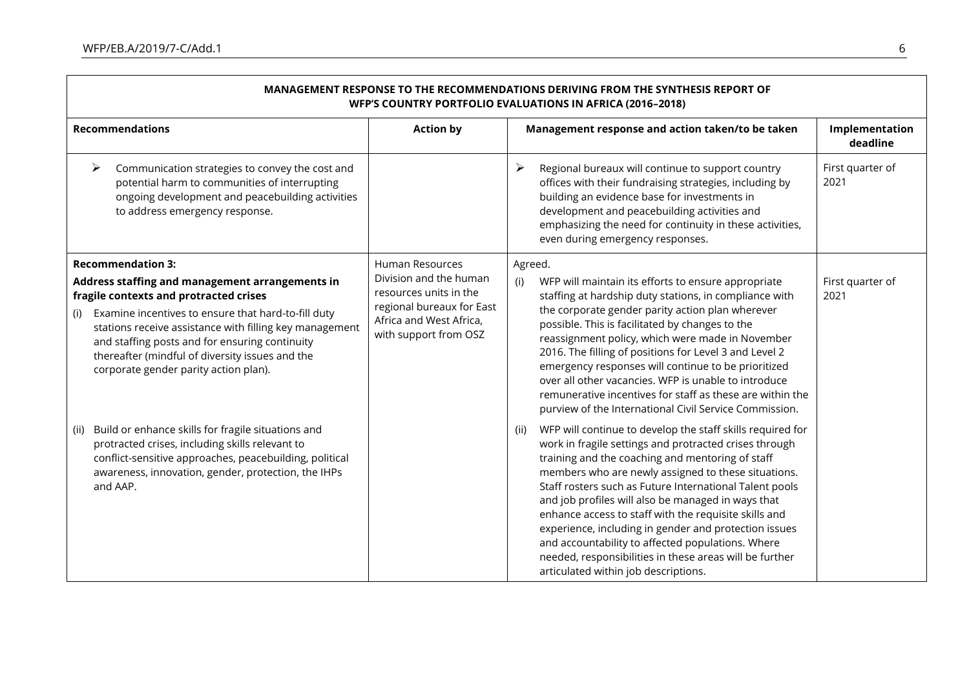ா

| MANAGEMENT RESPONSE TO THE RECOMMENDATIONS DERIVING FROM THE SYNTHESIS REPORT OF<br><b>WFP'S COUNTRY PORTFOLIO EVALUATIONS IN AFRICA (2016-2018)</b>                                                                                                                |                                                                                                                                   |                                                                                                                                                                                                                                                                                                                                                                                                                                                                                                                                                                                                                                    |                            |  |  |
|---------------------------------------------------------------------------------------------------------------------------------------------------------------------------------------------------------------------------------------------------------------------|-----------------------------------------------------------------------------------------------------------------------------------|------------------------------------------------------------------------------------------------------------------------------------------------------------------------------------------------------------------------------------------------------------------------------------------------------------------------------------------------------------------------------------------------------------------------------------------------------------------------------------------------------------------------------------------------------------------------------------------------------------------------------------|----------------------------|--|--|
| <b>Recommendations</b>                                                                                                                                                                                                                                              | <b>Action by</b>                                                                                                                  | Management response and action taken/to be taken                                                                                                                                                                                                                                                                                                                                                                                                                                                                                                                                                                                   | Implementation<br>deadline |  |  |
| $\blacktriangleright$<br>Communication strategies to convey the cost and<br>potential harm to communities of interrupting<br>ongoing development and peacebuilding activities<br>to address emergency response.                                                     |                                                                                                                                   | ➤<br>Regional bureaux will continue to support country<br>offices with their fundraising strategies, including by<br>building an evidence base for investments in<br>development and peacebuilding activities and<br>emphasizing the need for continuity in these activities,<br>even during emergency responses.                                                                                                                                                                                                                                                                                                                  | First quarter of<br>2021   |  |  |
| <b>Recommendation 3:</b>                                                                                                                                                                                                                                            | Human Resources                                                                                                                   | Agreed.                                                                                                                                                                                                                                                                                                                                                                                                                                                                                                                                                                                                                            |                            |  |  |
| Address staffing and management arrangements in<br>fragile contexts and protracted crises                                                                                                                                                                           | Division and the human<br>resources units in the<br>regional bureaux for East<br>Africa and West Africa,<br>with support from OSZ | (i)<br>WFP will maintain its efforts to ensure appropriate<br>staffing at hardship duty stations, in compliance with                                                                                                                                                                                                                                                                                                                                                                                                                                                                                                               | First quarter of<br>2021   |  |  |
| Examine incentives to ensure that hard-to-fill duty<br>(i)<br>stations receive assistance with filling key management<br>and staffing posts and for ensuring continuity<br>thereafter (mindful of diversity issues and the<br>corporate gender parity action plan). |                                                                                                                                   | the corporate gender parity action plan wherever<br>possible. This is facilitated by changes to the<br>reassignment policy, which were made in November<br>2016. The filling of positions for Level 3 and Level 2<br>emergency responses will continue to be prioritized<br>over all other vacancies. WFP is unable to introduce<br>remunerative incentives for staff as these are within the<br>purview of the International Civil Service Commission.                                                                                                                                                                            |                            |  |  |
| Build or enhance skills for fragile situations and<br>(ii)<br>protracted crises, including skills relevant to<br>conflict-sensitive approaches, peacebuilding, political<br>awareness, innovation, gender, protection, the IHPs<br>and AAP.                         |                                                                                                                                   | WFP will continue to develop the staff skills required for<br>(ii)<br>work in fragile settings and protracted crises through<br>training and the coaching and mentoring of staff<br>members who are newly assigned to these situations.<br>Staff rosters such as Future International Talent pools<br>and job profiles will also be managed in ways that<br>enhance access to staff with the requisite skills and<br>experience, including in gender and protection issues<br>and accountability to affected populations. Where<br>needed, responsibilities in these areas will be further<br>articulated within job descriptions. |                            |  |  |

۰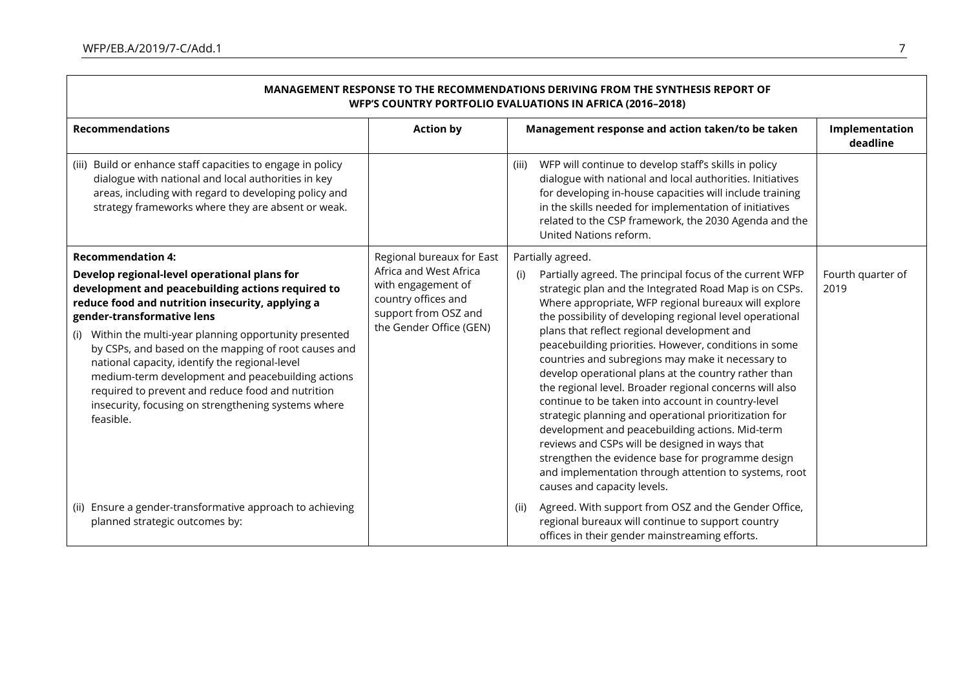| MANAGEMENT RESPONSE TO THE RECOMMENDATIONS DERIVING FROM THE SYNTHESIS REPORT OF<br>WFP'S COUNTRY PORTFOLIO EVALUATIONS IN AFRICA (2016-2018)                                                                                                                                                                                                                                                                                                                                                                                                                       |                                                                                                                                                     |                                                                                                                                                                                                                                                                                                                                                                                                                                                                                                                                                                                                                                                                                                                                                                                                                                                                                                                     |                            |  |
|---------------------------------------------------------------------------------------------------------------------------------------------------------------------------------------------------------------------------------------------------------------------------------------------------------------------------------------------------------------------------------------------------------------------------------------------------------------------------------------------------------------------------------------------------------------------|-----------------------------------------------------------------------------------------------------------------------------------------------------|---------------------------------------------------------------------------------------------------------------------------------------------------------------------------------------------------------------------------------------------------------------------------------------------------------------------------------------------------------------------------------------------------------------------------------------------------------------------------------------------------------------------------------------------------------------------------------------------------------------------------------------------------------------------------------------------------------------------------------------------------------------------------------------------------------------------------------------------------------------------------------------------------------------------|----------------------------|--|
| <b>Recommendations</b>                                                                                                                                                                                                                                                                                                                                                                                                                                                                                                                                              | <b>Action by</b>                                                                                                                                    | Management response and action taken/to be taken                                                                                                                                                                                                                                                                                                                                                                                                                                                                                                                                                                                                                                                                                                                                                                                                                                                                    | Implementation<br>deadline |  |
| Build or enhance staff capacities to engage in policy<br>(iii)<br>dialogue with national and local authorities in key<br>areas, including with regard to developing policy and<br>strategy frameworks where they are absent or weak.                                                                                                                                                                                                                                                                                                                                |                                                                                                                                                     | WFP will continue to develop staff's skills in policy<br>(iii)<br>dialogue with national and local authorities. Initiatives<br>for developing in-house capacities will include training<br>in the skills needed for implementation of initiatives<br>related to the CSP framework, the 2030 Agenda and the<br>United Nations reform.                                                                                                                                                                                                                                                                                                                                                                                                                                                                                                                                                                                |                            |  |
| <b>Recommendation 4:</b><br>Develop regional-level operational plans for<br>development and peacebuilding actions required to<br>reduce food and nutrition insecurity, applying a<br>gender-transformative lens<br>(i) Within the multi-year planning opportunity presented<br>by CSPs, and based on the mapping of root causes and<br>national capacity, identify the regional-level<br>medium-term development and peacebuilding actions<br>required to prevent and reduce food and nutrition<br>insecurity, focusing on strengthening systems where<br>feasible. | Regional bureaux for East<br>Africa and West Africa<br>with engagement of<br>country offices and<br>support from OSZ and<br>the Gender Office (GEN) | Partially agreed.<br>Partially agreed. The principal focus of the current WFP<br>(i)<br>strategic plan and the Integrated Road Map is on CSPs.<br>Where appropriate, WFP regional bureaux will explore<br>the possibility of developing regional level operational<br>plans that reflect regional development and<br>peacebuilding priorities. However, conditions in some<br>countries and subregions may make it necessary to<br>develop operational plans at the country rather than<br>the regional level. Broader regional concerns will also<br>continue to be taken into account in country-level<br>strategic planning and operational prioritization for<br>development and peacebuilding actions. Mid-term<br>reviews and CSPs will be designed in ways that<br>strengthen the evidence base for programme design<br>and implementation through attention to systems, root<br>causes and capacity levels. | Fourth quarter of<br>2019  |  |
| (ii) Ensure a gender-transformative approach to achieving<br>planned strategic outcomes by:                                                                                                                                                                                                                                                                                                                                                                                                                                                                         |                                                                                                                                                     | Agreed. With support from OSZ and the Gender Office,<br>(ii)<br>regional bureaux will continue to support country<br>offices in their gender mainstreaming efforts.                                                                                                                                                                                                                                                                                                                                                                                                                                                                                                                                                                                                                                                                                                                                                 |                            |  |

┑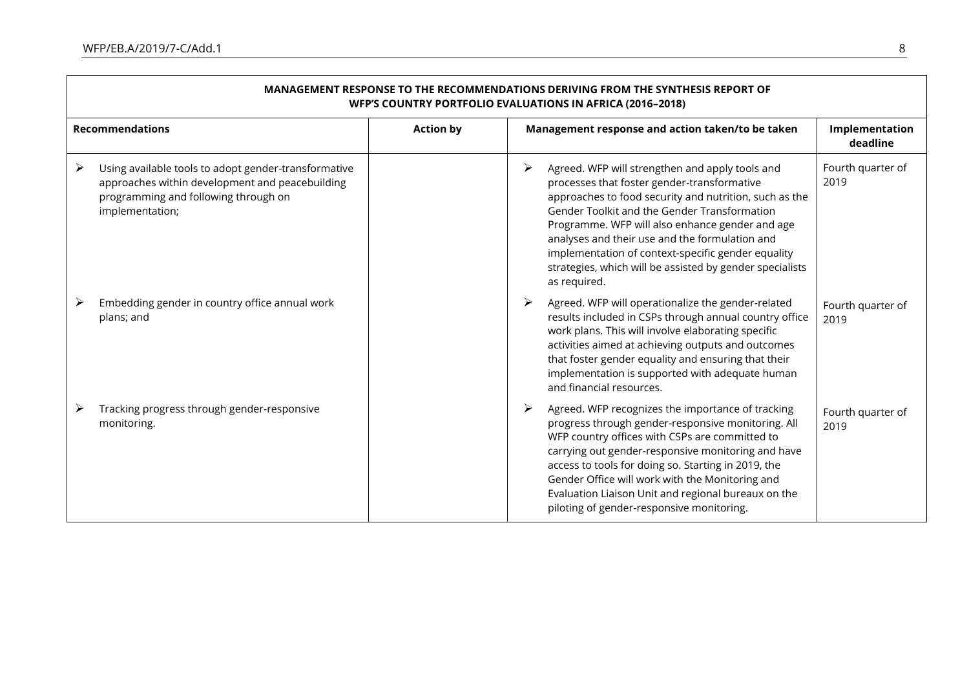$\overline{\phantom{a}}$ 

| MANAGEMENT RESPONSE TO THE RECOMMENDATIONS DERIVING FROM THE SYNTHESIS REPORT OF<br><b>WFP'S COUNTRY PORTFOLIO EVALUATIONS IN AFRICA (2016-2018)</b>                    |                  |                                                                                                                                                                                                                                                                                                                                                                                                                                                      |                            |  |
|-------------------------------------------------------------------------------------------------------------------------------------------------------------------------|------------------|------------------------------------------------------------------------------------------------------------------------------------------------------------------------------------------------------------------------------------------------------------------------------------------------------------------------------------------------------------------------------------------------------------------------------------------------------|----------------------------|--|
| <b>Recommendations</b>                                                                                                                                                  | <b>Action by</b> | Management response and action taken/to be taken                                                                                                                                                                                                                                                                                                                                                                                                     | Implementation<br>deadline |  |
| ≻<br>Using available tools to adopt gender-transformative<br>approaches within development and peacebuilding<br>programming and following through on<br>implementation; |                  | ➤<br>Agreed. WFP will strengthen and apply tools and<br>processes that foster gender-transformative<br>approaches to food security and nutrition, such as the<br>Gender Toolkit and the Gender Transformation<br>Programme. WFP will also enhance gender and age<br>analyses and their use and the formulation and<br>implementation of context-specific gender equality<br>strategies, which will be assisted by gender specialists<br>as required. | Fourth quarter of<br>2019  |  |
| Embedding gender in country office annual work<br>plans; and                                                                                                            |                  | Agreed. WFP will operationalize the gender-related<br>➤<br>results included in CSPs through annual country office<br>work plans. This will involve elaborating specific<br>activities aimed at achieving outputs and outcomes<br>that foster gender equality and ensuring that their<br>implementation is supported with adequate human<br>and financial resources.                                                                                  | Fourth quarter of<br>2019  |  |
| Tracking progress through gender-responsive<br>monitoring.                                                                                                              |                  | Agreed. WFP recognizes the importance of tracking<br>➤<br>progress through gender-responsive monitoring. All<br>WFP country offices with CSPs are committed to<br>carrying out gender-responsive monitoring and have<br>access to tools for doing so. Starting in 2019, the<br>Gender Office will work with the Monitoring and<br>Evaluation Liaison Unit and regional bureaux on the<br>piloting of gender-responsive monitoring.                   | Fourth quarter of<br>2019  |  |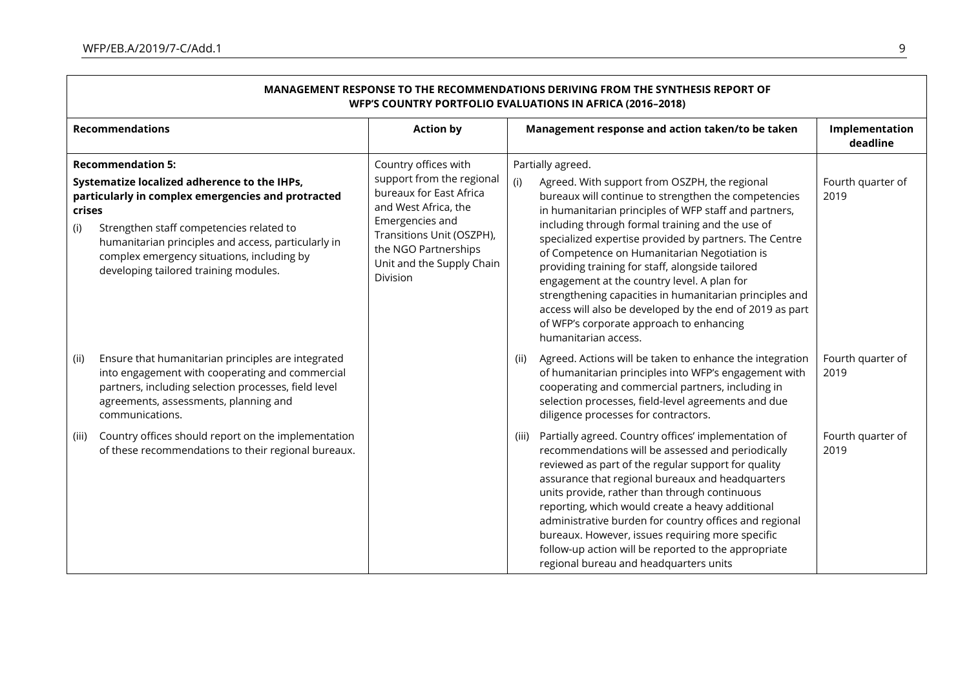$\Gamma$ 

| MANAGEMENT RESPONSE TO THE RECOMMENDATIONS DERIVING FROM THE SYNTHESIS REPORT OF<br><b>WFP'S COUNTRY PORTFOLIO EVALUATIONS IN AFRICA (2016-2018)</b>                                                                                                                                                                                      |                                                                                                                                                                                                                       |                                                                                                                                                                                                                                                                                                                                                                                                                                                                                                                                                                                                                                                        |                            |  |  |
|-------------------------------------------------------------------------------------------------------------------------------------------------------------------------------------------------------------------------------------------------------------------------------------------------------------------------------------------|-----------------------------------------------------------------------------------------------------------------------------------------------------------------------------------------------------------------------|--------------------------------------------------------------------------------------------------------------------------------------------------------------------------------------------------------------------------------------------------------------------------------------------------------------------------------------------------------------------------------------------------------------------------------------------------------------------------------------------------------------------------------------------------------------------------------------------------------------------------------------------------------|----------------------------|--|--|
| <b>Recommendations</b>                                                                                                                                                                                                                                                                                                                    | <b>Action by</b>                                                                                                                                                                                                      | Management response and action taken/to be taken                                                                                                                                                                                                                                                                                                                                                                                                                                                                                                                                                                                                       | Implementation<br>deadline |  |  |
| <b>Recommendation 5:</b><br>Systematize localized adherence to the IHPs,<br>particularly in complex emergencies and protracted<br>crises<br>Strengthen staff competencies related to<br>(i)<br>humanitarian principles and access, particularly in<br>complex emergency situations, including by<br>developing tailored training modules. | Country offices with<br>support from the regional<br>bureaux for East Africa<br>and West Africa, the<br>Emergencies and<br>Transitions Unit (OSZPH),<br>the NGO Partnerships<br>Unit and the Supply Chain<br>Division | Partially agreed.<br>(i)<br>Agreed. With support from OSZPH, the regional<br>bureaux will continue to strengthen the competencies<br>in humanitarian principles of WFP staff and partners,<br>including through formal training and the use of<br>specialized expertise provided by partners. The Centre<br>of Competence on Humanitarian Negotiation is<br>providing training for staff, alongside tailored<br>engagement at the country level. A plan for<br>strengthening capacities in humanitarian principles and<br>access will also be developed by the end of 2019 as part<br>of WFP's corporate approach to enhancing<br>humanitarian access. | Fourth quarter of<br>2019  |  |  |
| Ensure that humanitarian principles are integrated<br>(ii)<br>into engagement with cooperating and commercial<br>partners, including selection processes, field level<br>agreements, assessments, planning and<br>communications.                                                                                                         |                                                                                                                                                                                                                       | Agreed. Actions will be taken to enhance the integration<br>(ii)<br>of humanitarian principles into WFP's engagement with<br>cooperating and commercial partners, including in<br>selection processes, field-level agreements and due<br>diligence processes for contractors.                                                                                                                                                                                                                                                                                                                                                                          | Fourth quarter of<br>2019  |  |  |
| Country offices should report on the implementation<br>(iii)<br>of these recommendations to their regional bureaux.                                                                                                                                                                                                                       |                                                                                                                                                                                                                       | (iii) Partially agreed. Country offices' implementation of<br>recommendations will be assessed and periodically<br>reviewed as part of the regular support for quality<br>assurance that regional bureaux and headquarters<br>units provide, rather than through continuous<br>reporting, which would create a heavy additional<br>administrative burden for country offices and regional<br>bureaux. However, issues requiring more specific<br>follow-up action will be reported to the appropriate<br>regional bureau and headquarters units                                                                                                        | Fourth quarter of<br>2019  |  |  |